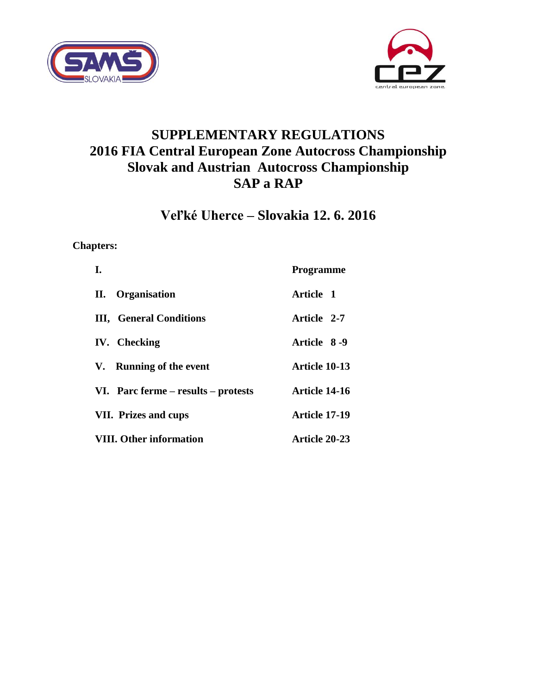



# **SUPPLEMENTARY REGULATIONS 2016 FIA Central European Zone Autocross Championship Slovak and Austrian Autocross Championship SAP a RAP**

# **Veľké Uherce – Slovakia 12. 6. 2016**

# **Chapters:**

| L.                                      | <b>Programme</b> |
|-----------------------------------------|------------------|
| <b>Organisation</b><br>II.              | Article 1        |
| <b>III.</b> General Conditions          | Article 2-7      |
| <b>IV.</b> Checking                     | Article 8-9      |
| V. Running of the event                 | Article 10-13    |
| VI. Parc ferme $-$ results $-$ protests | Article 14-16    |
| <b>VII.</b> Prizes and cups             | Article 17-19    |
| <b>VIII. Other information</b>          | Article 20-23    |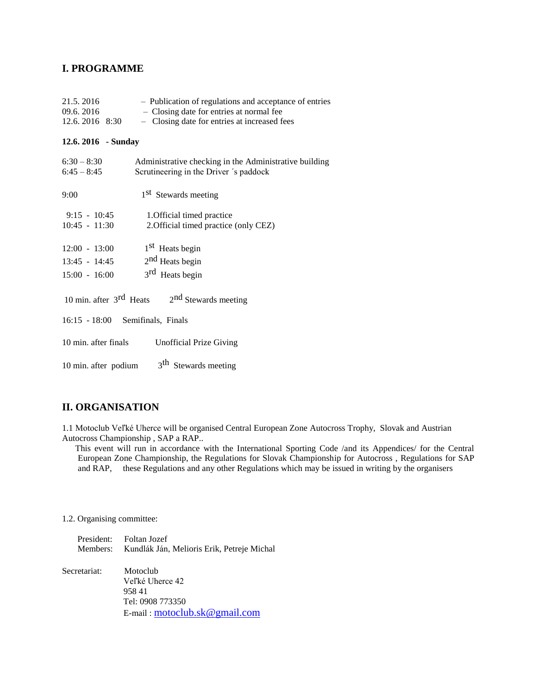## **I. PROGRAMME**

| 21.5.2016<br>09.6.2016<br>12.6. 2016 8:30 | - Publication of regulations and acceptance of entries<br>- Closing date for entries at normal fee<br>- Closing date for entries at increased fees |
|-------------------------------------------|----------------------------------------------------------------------------------------------------------------------------------------------------|
| 12.6. 2016 - Sunday                       |                                                                                                                                                    |
| $6:30 - 8:30$<br>$6:45 - 8:45$            | Administrative checking in the Administrative building<br>Scrutineering in the Driver 's paddock                                                   |
| 9:00                                      | 1 <sup>st</sup> Stewards meeting                                                                                                                   |
| $9:15 - 10:45$<br>$10:45 - 11:30$         | 1. Official timed practice<br>2. Official timed practice (only CEZ)                                                                                |
| $12:00 - 13:00$                           | 1 <sup>st</sup> Heats begin                                                                                                                        |
| 13:45 - 14:45 $2nd$ Heats begin           |                                                                                                                                                    |
| $15:00 - 16:00$                           | 3 <sup>rd</sup> Heats begin                                                                                                                        |
|                                           | 10 min. after $3^{\text{rd}}$ Heats $2^{\text{nd}}$ Stewards meeting                                                                               |
| 16:15 - 18:00 Semifinals, Finals          |                                                                                                                                                    |
| 10 min. after finals                      | <b>Unofficial Prize Giving</b>                                                                                                                     |
| 10 min. after podium                      | 3 <sup>th</sup> Stewards meeting                                                                                                                   |

# **II. ORGANISATION**

1.1 Motoclub Veľké Uherce will be organised Central European Zone Autocross Trophy, Slovak and Austrian Autocross Championship , SAP a RAP..

 This event will run in accordance with the International Sporting Code /and its Appendices/ for the Central European Zone Championship, the Regulations for Slovak Championship for Autocross , Regulations for SAP and RAP, these Regulations and any other Regulations which may be issued in writing by the organisers

#### 1.2. Organising committee:

|          | President: Foltan Jozef                    |
|----------|--------------------------------------------|
| Members: | Kundlák Ján, Melioris Erik, Petreje Michal |

| Secretariat: | Motoclub<br>Veľké Uherce 42              |
|--------------|------------------------------------------|
|              | 95841                                    |
|              | Tel: 0908 773350                         |
|              | E-mail: $motor\_modub.$ sk $@$ gmail.com |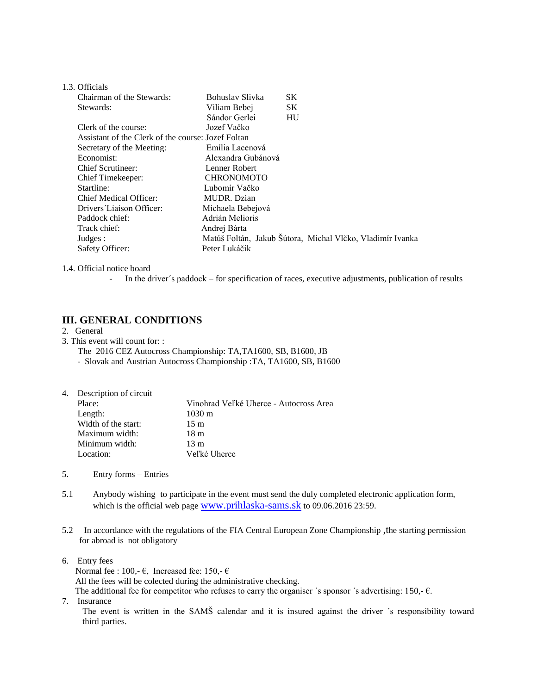| 1.3. Officials |  |
|----------------|--|
|----------------|--|

| Chairman of the Stewards:                          | Bohuslav Slivka    | SK                                                        |
|----------------------------------------------------|--------------------|-----------------------------------------------------------|
| Stewards:                                          | Viliam Bebej       | <b>SK</b>                                                 |
|                                                    | Sándor Gerlei      | HU                                                        |
| Clerk of the course:                               | Jozef Vačko        |                                                           |
| Assistant of the Clerk of the course: Jozef Foltan |                    |                                                           |
| Secretary of the Meeting:                          | Emília Lacenová    |                                                           |
| Economist:                                         | Alexandra Gubánová |                                                           |
| Chief Scrutineer:                                  | Lenner Robert      |                                                           |
| Chief Timekeeper:                                  | <b>CHRONOMOTO</b>  |                                                           |
| Startline:                                         | Lubomír Vačko      |                                                           |
| Chief Medical Officer:                             | MUDR. Dzian        |                                                           |
| Drivers Liaison Officer:                           | Michaela Bebejová  |                                                           |
| Paddock chief:                                     | Adrián Melioris    |                                                           |
| Track chief:                                       | Andrej Bárta       |                                                           |
| Judges:                                            |                    | Matúš Foltán, Jakub Šútora, Michal Vlčko, Vladimír Ivanka |
| Safety Officer:                                    | Peter Lukáčik      |                                                           |

#### 1.4. Official notice board

- In the driver´s paddock – for specification of races, executive adjustments, publication of results

### **III. GENERAL CONDITIONS**

#### 2. General

3. This event will count for: :

The 2016 CEZ Autocross Championship: TA,TA1600, SB, B1600, JB - Slovak and Austrian Autocross Championship :TA, TA1600, SB, B1600

| 4. Description of circuit |                                        |  |
|---------------------------|----------------------------------------|--|
| Place:                    | Vinohrad Veľké Uherce - Autocross Area |  |
| Length:                   | $1030 \text{ m}$                       |  |
| Width of the start:       | 15 <sub>m</sub>                        |  |
| Maximum width:            | 18 m                                   |  |
| Minimum width:            | $13 \text{ m}$                         |  |
| Location:                 | Veľké Uherce                           |  |

- 5. Entry forms Entries
- 5.1 Anybody wishing to participate in the event must send the duly completed electronic application form, which is the official web page [www.prihlaska-sams.sk](http://www.prihlaska-sams.sk/) to 09.06.2016 23:59.
- 5.2 In accordance with the regulations of the FIA Central European Zone Championship ,the starting permission for abroad is not obligatory
- 6. Entry fees

Normal fee : 100,-  $\epsilon$ , Increased fee: 150,-  $\epsilon$  All the fees will be colected during the administrative checking. The additional fee for competitor who refuses to carry the organiser 's sponsor 's advertising: 150,- $\epsilon$ .

7. Insurance

The event is written in the SAMŠ calendar and it is insured against the driver ´s responsibility toward third parties.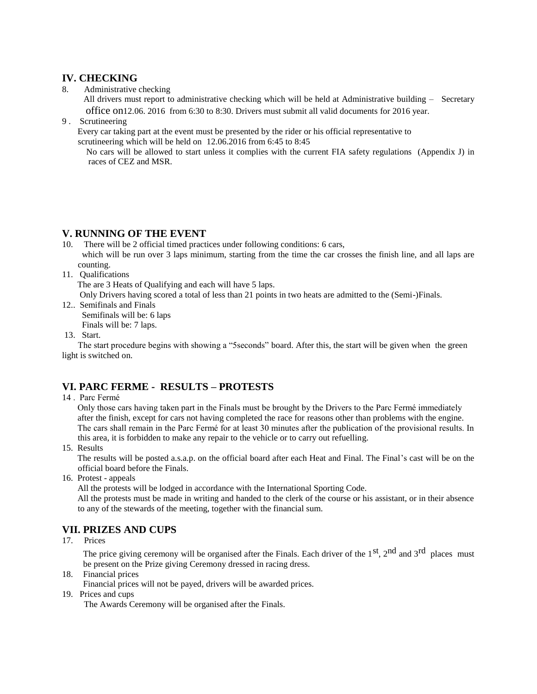## **IV. CHECKING**

8. Administrative checking

 All drivers must report to administrative checking which will be held at Administrative building – Secretary office on12.06. 2016 from 6:30 to 8:30. Drivers must submit all valid documents for 2016 year.

9 . Scrutineering

 Every car taking part at the event must be presented by the rider or his official representative to scrutineering which will be held on 12.06.2016 from 6:45 to 8:45

 No cars will be allowed to start unless it complies with the current FIA safety regulations (Appendix J) in races of CEZ and MSR.

# **V. RUNNING OF THE EVENT**

10. There will be 2 official timed practices under following conditions: 6 cars, which will be run over 3 laps minimum, starting from the time the car crosses the finish line, and all laps are counting.

11. Qualifications

The are 3 Heats of Qualifying and each will have 5 laps.

Only Drivers having scored a total of less than 21 points in two heats are admitted to the (Semi-)Finals.

- 12.. Semifinals and Finals Semifinals will be: 6 laps Finals will be: 7 laps.
- 13. Start.

 The start procedure begins with showing a "5seconds" board. After this, the start will be given when the green light is switched on.

# **VI. PARC FERME - RESULTS – PROTESTS**

14 . Parc Fermé

 Only those cars having taken part in the Finals must be brought by the Drivers to the Parc Fermé immediately after the finish, except for cars not having completed the race for reasons other than problems with the engine. The cars shall remain in the Parc Fermé for at least 30 minutes after the publication of the provisional results. In this area, it is forbidden to make any repair to the vehicle or to carry out refuelling.

15. Results

 The results will be posted a.s.a.p. on the official board after each Heat and Final. The Final's cast will be on the official board before the Finals.

16. Protest - appeals

All the protests will be lodged in accordance with the International Sporting Code.

 All the protests must be made in writing and handed to the clerk of the course or his assistant, or in their absence to any of the stewards of the meeting, together with the financial sum.

# **VII. PRIZES AND CUPS**

17. Prices

The price giving ceremony will be organised after the Finals. Each driver of the 1<sup>st</sup>, 2<sup>nd</sup> and 3<sup>rd</sup> places must be present on the Prize giving Ceremony dressed in racing dress.

18. Financial prices

Financial prices will not be payed, drivers will be awarded prices.

19. Prices and cups

The Awards Ceremony will be organised after the Finals.